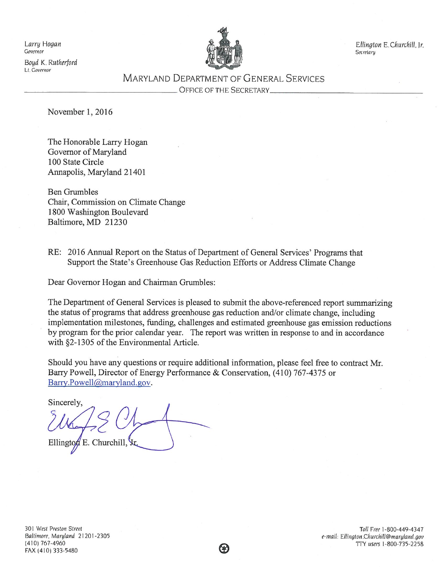Larry Hogan Governor

Boyd K. Rutherford Lt. Governor



Ellington E.Churchill, Jr. Secretary

**MARYLAND DEPARTMENT OF GENERAL SERVICES** 

OFFICE OF THE SECRETARY

November 1, 2016

The Honorable Larry Hogan Governor of Maryland 100 State Circle Annapolis, Maryland 21401

**Ben Grumbles** Chair, Commission on Climate Change 1800 Washington Boulevard Baltimore, MD 21230

RE: 2016 Annual Report on the Status of Department of General Services' Programs that Support the State's Greenhouse Gas Reduction Efforts or Address Climate Change

Dear Governor Hogan and Chairman Grumbles:

The Department of General Services is pleased to submit the above-referenced report summarizing the status of programs that address greenhouse gas reduction and/or climate change, including implementation milestones, funding, challenges and estimated greenhouse gas emission reductions by program for the prior calendar year. The report was written in response to and in accordance with §2-1305 of the Environmental Article.

Should you have any questions or require additional information, please feel free to contract Mr. Barry Powell, Director of Energy Performance & Conservation, (410) 767-4375 or Barry.Powell@maryland.gov.

Sincerely, E. Churchill, Vr  $Ellington$ 

Toll Free 1-800-449-4347 e-mail: Ellington.Churchill@maryland.gov TTY users 1-800-735-2258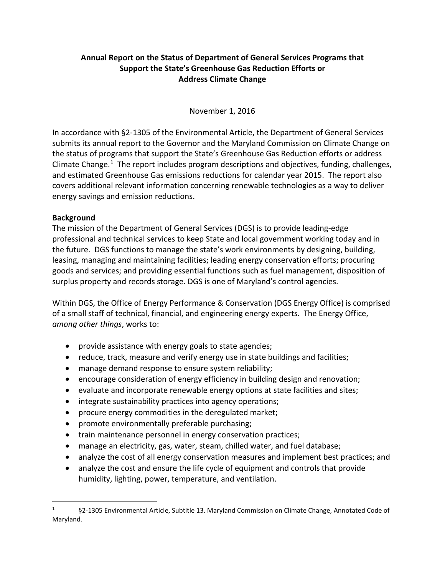## **Annual Report on the Status of Department of General Services Programs that Support the State's Greenhouse Gas Reduction Efforts or Address Climate Change**

November 1, 2016

In accordance with §2-1305 of the Environmental Article, the Department of General Services submits its annual report to the Governor and the Maryland Commission on Climate Change on the status of programs that support the State's Greenhouse Gas Reduction efforts or address Climate Change.<sup>[1](#page-1-0)</sup> The report includes program descriptions and objectives, funding, challenges, and estimated Greenhouse Gas emissions reductions for calendar year 2015. The report also covers additional relevant information concerning renewable technologies as a way to deliver energy savings and emission reductions.

#### **Background**

The mission of the Department of General Services (DGS) is to provide leading-edge professional and technical services to keep State and local government working today and in the future. DGS functions to manage the state's work environments by designing, building, leasing, managing and maintaining facilities; leading energy conservation efforts; procuring goods and services; and providing essential functions such as fuel management, disposition of surplus property and records storage. DGS is one of Maryland's control agencies.

Within DGS, the Office of Energy Performance & Conservation (DGS Energy Office) is comprised of a small staff of technical, financial, and engineering energy experts. The Energy Office, *among other things*, works to:

- provide assistance with energy goals to state agencies;
- reduce, track, measure and verify energy use in state buildings and facilities;
- manage demand response to ensure system reliability;
- encourage consideration of energy efficiency in building design and renovation;
- evaluate and incorporate renewable energy options at state facilities and sites;
- integrate sustainability practices into agency operations;
- procure energy commodities in the deregulated market;
- promote environmentally preferable purchasing;
- train maintenance personnel in energy conservation practices;
- manage an electricity, gas, water, steam, chilled water, and fuel database;
- analyze the cost of all energy conservation measures and implement best practices; and
- analyze the cost and ensure the life cycle of equipment and controls that provide humidity, lighting, power, temperature, and ventilation.

<span id="page-1-0"></span> <sup>1</sup> §2-1305 Environmental Article, Subtitle 13. Maryland Commission on Climate Change, Annotated Code of Maryland.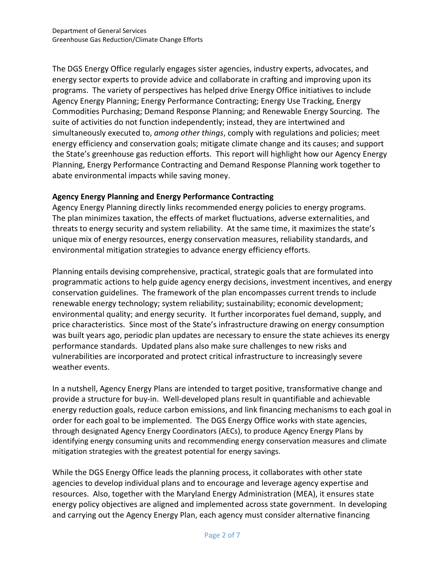The DGS Energy Office regularly engages sister agencies, industry experts, advocates, and energy sector experts to provide advice and collaborate in crafting and improving upon its programs. The variety of perspectives has helped drive Energy Office initiatives to include Agency Energy Planning; Energy Performance Contracting; Energy Use Tracking, Energy Commodities Purchasing; Demand Response Planning; and Renewable Energy Sourcing. The suite of activities do not function independently; instead, they are intertwined and simultaneously executed to, *among other things*, comply with regulations and policies; meet energy efficiency and conservation goals; mitigate climate change and its causes; and support the State's greenhouse gas reduction efforts. This report will highlight how our Agency Energy Planning, Energy Performance Contracting and Demand Response Planning work together to abate environmental impacts while saving money.

#### **Agency Energy Planning and Energy Performance Contracting**

Agency Energy Planning directly links recommended energy policies to energy programs. The plan minimizes taxation, the effects of market fluctuations, adverse externalities, and threats to energy security and system reliability. At the same time, it maximizes the state's unique mix of energy resources, energy conservation measures, reliability standards, and environmental mitigation strategies to advance energy efficiency efforts.

Planning entails devising comprehensive, practical, strategic goals that are formulated into programmatic actions to help guide agency energy decisions, investment incentives, and energy conservation guidelines. The framework of the plan encompasses current trends to include renewable energy technology; system reliability; sustainability; economic development; environmental quality; and energy security. It further incorporates fuel demand, supply, and price characteristics. Since most of the State's infrastructure drawing on energy consumption was built years ago, periodic plan updates are necessary to ensure the state achieves its energy performance standards. Updated plans also make sure challenges to new risks and vulnerabilities are incorporated and protect critical infrastructure to increasingly severe weather events.

In a nutshell, Agency Energy Plans are intended to target positive, transformative change and provide a structure for buy-in. Well-developed plans result in quantifiable and achievable energy reduction goals, reduce carbon emissions, and link financing mechanisms to each goal in order for each goal to be implemented. The DGS Energy Office works with state agencies, through designated Agency Energy Coordinators (AECs), to produce Agency Energy Plans by identifying energy consuming units and recommending energy conservation measures and climate mitigation strategies with the greatest potential for energy savings.

While the DGS Energy Office leads the planning process, it collaborates with other state agencies to develop individual plans and to encourage and leverage agency expertise and resources. Also, together with the Maryland Energy Administration (MEA), it ensures state energy policy objectives are aligned and implemented across state government. In developing and carrying out the Agency Energy Plan, each agency must consider alternative financing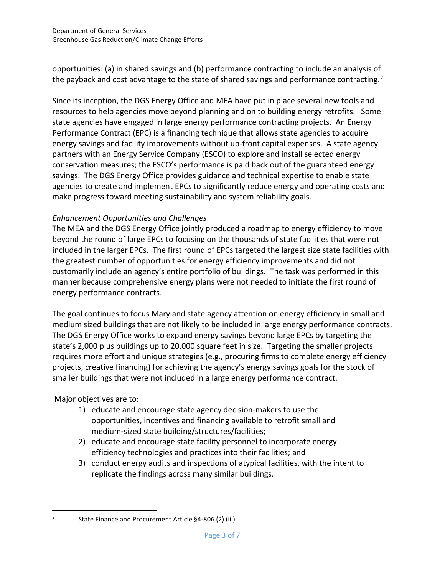opportunities: (a) in shared savings and (b) performance contracting to include an analysis of the payback and cost advantage to the state of shared savings and performance contracting.<sup>[2](#page-3-0)</sup>

Since its inception, the DGS Energy Office and MEA have put in place several new tools and resources to help agencies move beyond planning and on to building energy retrofits. Some state agencies have engaged in large energy performance contracting projects. An Energy Performance Contract (EPC) is a financing technique that allows state agencies to acquire energy savings and facility improvements without up-front capital expenses. A state agency partners with an Energy Service Company (ESCO) to explore and install selected energy conservation measures; the ESCO's performance is paid back out of the guaranteed energy savings. The DGS Energy Office provides guidance and technical expertise to enable state agencies to create and implement EPCs to significantly reduce energy and operating costs and make progress toward meeting sustainability and system reliability goals.

# *Enhancement Opportunities and Challenges*

The MEA and the DGS Energy Office jointly produced a roadmap to energy efficiency to move beyond the round of large EPCs to focusing on the thousands of state facilities that were not included in the larger EPCs. The first round of EPCs targeted the largest size state facilities with the greatest number of opportunities for energy efficiency improvements and did not customarily include an agency's entire portfolio of buildings. The task was performed in this manner because comprehensive energy plans were not needed to initiate the first round of energy performance contracts.

The goal continues to focus Maryland state agency attention on energy efficiency in small and medium sized buildings that are not likely to be included in large energy performance contracts. The DGS Energy Office works to expand energy savings beyond large EPCs by targeting the state's 2,000 plus buildings up to 20,000 square feet in size. Targeting the smaller projects requires more effort and unique strategies (e.g., procuring firms to complete energy efficiency projects, creative financing) for achieving the agency's energy savings goals for the stock of smaller buildings that were not included in a large energy performance contract.

Major objectives are to:

- 1) educate and encourage state agency decision-makers to use the opportunities, incentives and financing available to retrofit small and medium-sized state building/structures/facilities;
- 2) educate and encourage state facility personnel to incorporate energy efficiency technologies and practices into their facilities; and
- 3) conduct energy audits and inspections of atypical facilities, with the intent to replicate the findings across many similar buildings.

<span id="page-3-0"></span><sup>&</sup>lt;sup>2</sup> State Finance and Procurement Article  $§$ 4-806 (2) (iii).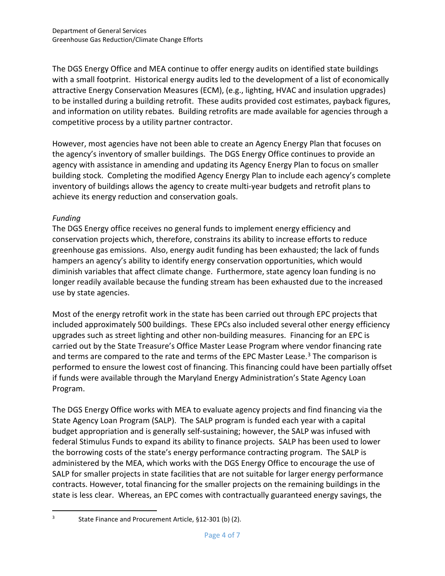The DGS Energy Office and MEA continue to offer energy audits on identified state buildings with a small footprint. Historical energy audits led to the development of a list of economically attractive Energy Conservation Measures (ECM), (e.g., lighting, HVAC and insulation upgrades) to be installed during a building retrofit. These audits provided cost estimates, payback figures, and information on utility rebates. Building retrofits are made available for agencies through a competitive process by a utility partner contractor.

However, most agencies have not been able to create an Agency Energy Plan that focuses on the agency's inventory of smaller buildings. The DGS Energy Office continues to provide an agency with assistance in amending and updating its Agency Energy Plan to focus on smaller building stock. Completing the modified Agency Energy Plan to include each agency's complete inventory of buildings allows the agency to create multi-year budgets and retrofit plans to achieve its energy reduction and conservation goals.

## *Funding*

The DGS Energy office receives no general funds to implement energy efficiency and conservation projects which, therefore, constrains its ability to increase efforts to reduce greenhouse gas emissions. Also, energy audit funding has been exhausted; the lack of funds hampers an agency's ability to identify energy conservation opportunities, which would diminish variables that affect climate change. Furthermore, state agency loan funding is no longer readily available because the funding stream has been exhausted due to the increased use by state agencies.

Most of the energy retrofit work in the state has been carried out through EPC projects that included approximately 500 buildings. These EPCs also included several other energy efficiency upgrades such as street lighting and other non-building measures. Financing for an EPC is carried out by the State Treasure's Office Master Lease Program where vendor financing rate and terms are compared to the rate and terms of the EPC Master Lease. [3](#page-4-0) The comparison is performed to ensure the lowest cost of financing. This financing could have been partially offset if funds were available through the Maryland Energy Administration's State Agency Loan Program.

The DGS Energy Office works with MEA to evaluate agency projects and find financing via the State Agency Loan Program (SALP). The SALP program is funded each year with a capital budget appropriation and is generally self-sustaining; however, the SALP was infused with federal Stimulus Funds to expand its ability to finance projects. SALP has been used to lower the borrowing costs of the state's energy performance contracting program. The SALP is administered by the MEA, which works with the DGS Energy Office to encourage the use of SALP for smaller projects in state facilities that are not suitable for larger energy performance contracts. However, total financing for the smaller projects on the remaining buildings in the state is less clear. Whereas, an EPC comes with contractually guaranteed energy savings, the

<span id="page-4-0"></span> <sup>3</sup> State Finance and Procurement Article, §12-301 (b) (2).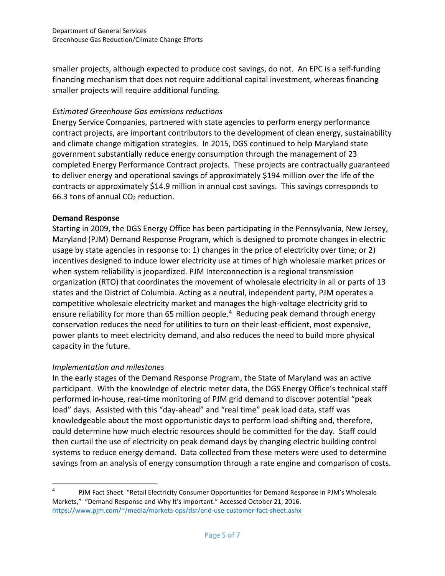smaller projects, although expected to produce cost savings, do not. An EPC is a self-funding financing mechanism that does not require additional capital investment, whereas financing smaller projects will require additional funding.

## *Estimated Greenhouse Gas emissions reductions*

Energy Service Companies, partnered with state agencies to perform energy performance contract projects, are important contributors to the development of clean energy, sustainability and climate change mitigation strategies. In 2015, DGS continued to help Maryland state government substantially reduce energy consumption through the management of 23 completed Energy Performance Contract projects. These projects are contractually guaranteed to deliver energy and operational savings of approximately \$194 million over the life of the contracts or approximately \$14.9 million in annual cost savings. This savings corresponds to 66.3 tons of annual  $CO<sub>2</sub>$  reduction.

## **Demand Response**

Starting in 2009, the DGS Energy Office has been participating in the Pennsylvania, New Jersey, Maryland (PJM) Demand Response Program, which is designed to promote changes in electric usage by state agencies in response to: 1) changes in the price of electricity over time; or 2) incentives designed to induce lower electricity use at times of high wholesale market prices or when system reliability is jeopardized. PJM Interconnection is a regional transmission organization (RTO) that coordinates the movement of wholesale electricity in all or parts of 13 states and the District of Columbia. Acting as a neutral, independent party, PJM operates a competitive wholesale electricity market and manages the high-voltage electricity grid to ensure reliability for more than 65 million people. [4](#page-5-0) Reducing peak demand through energy conservation reduces the need for utilities to turn on their least-efficient, most expensive, power plants to meet electricity demand, and also reduces the need to build more physical capacity in the future.

## *Implementation and milestones*

In the early stages of the Demand Response Program, the State of Maryland was an active participant. With the knowledge of electric meter data, the DGS Energy Office's technical staff performed in-house, real-time monitoring of PJM grid demand to discover potential "peak load" days. Assisted with this "day-ahead" and "real time" peak load data, staff was knowledgeable about the most opportunistic days to perform load-shifting and, therefore, could determine how much electric resources should be committed for the day. Staff could then curtail the use of electricity on peak demand days by changing electric building control systems to reduce energy demand. Data collected from these meters were used to determine savings from an analysis of energy consumption through a rate engine and comparison of costs.

<span id="page-5-0"></span><sup>4</sup> PJM Fact Sheet. "Retail Electricity Consumer Opportunities for Demand Response in PJM's Wholesale Markets," "Demand Response and Why It's Important." Accessed October 21, 2016. [https://www.pjm.com/~/media/markets-ops/dsr/end-use-customer-fact-sheet.ashx](https://www.pjm.com/%7E/media/markets-ops/dsr/end-use-customer-fact-sheet.ashx)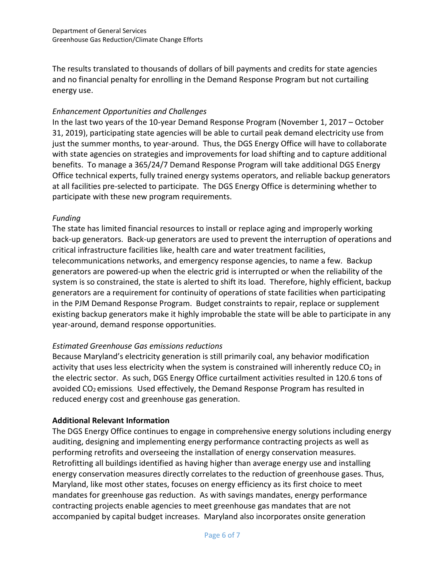The results translated to thousands of dollars of bill payments and credits for state agencies and no financial penalty for enrolling in the Demand Response Program but not curtailing energy use.

#### *Enhancement Opportunities and Challenges*

In the last two years of the 10-year Demand Response Program (November 1, 2017 – October 31, 2019), participating state agencies will be able to curtail peak demand electricity use from just the summer months, to year-around. Thus, the DGS Energy Office will have to collaborate with state agencies on strategies and improvements for load shifting and to capture additional benefits. To manage a 365/24/7 Demand Response Program will take additional DGS Energy Office technical experts, fully trained energy systems operators, and reliable backup generators at all facilities pre-selected to participate. The DGS Energy Office is determining whether to participate with these new program requirements.

#### *Funding*

The state has limited financial resources to install or replace aging and improperly working back-up generators. Back-up generators are used to prevent the interruption of operations and critical infrastructure facilities like, health care and water treatment facilities, telecommunications networks, and emergency response agencies, to name a few. Backup generators are powered-up when the electric grid is interrupted or when the reliability of the system is so constrained, the state is alerted to shift its load. Therefore, highly efficient, backup generators are a requirement for continuity of operations of state facilities when participating in the PJM Demand Response Program. Budget constraints to repair, replace or supplement existing backup generators make it highly improbable the state will be able to participate in any year-around, demand response opportunities.

## *Estimated Greenhouse Gas emissions reductions*

Because Maryland's electricity generation is still primarily coal, any behavior modification activity that uses less electricity when the system is constrained will inherently reduce  $CO<sub>2</sub>$  in the electric sector. As such, DGS Energy Office curtailment activities resulted in 120.6 tons of avoided  $CO<sub>2</sub>$  emissions. Used effectively, the Demand Response Program has resulted in reduced energy cost and greenhouse gas generation.

## **Additional Relevant Information**

The DGS Energy Office continues to engage in comprehensive energy solutions including energy auditing, designing and implementing energy performance contracting projects as well as performing retrofits and overseeing the installation of energy conservation measures. Retrofitting all buildings identified as having higher than average energy use and installing energy conservation measures directly correlates to the reduction of greenhouse gases. Thus, Maryland, like most other states, focuses on energy efficiency as its first choice to meet mandates for greenhouse gas reduction. As with savings mandates, energy performance contracting projects enable agencies to meet greenhouse gas mandates that are not accompanied by capital budget increases. Maryland also incorporates onsite generation